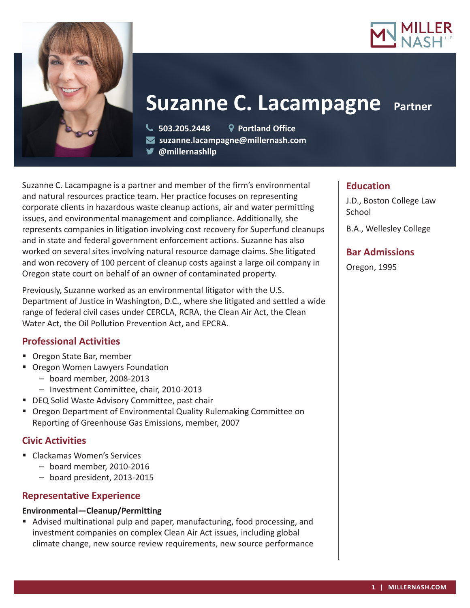



# **Suzanne C. Lacampagne Partner**

**503.205.2448 Portland Office**

**suzanne.lacampagne@millernash.com** 

**@millernashllp**

Suzanne C. Lacampagne is a partner and member of the firm's environmental and natural resources practice team. Her practice focuses on representing corporate clients in hazardous waste cleanup actions, air and water permitting issues, and environmental management and compliance. Additionally, she represents companies in litigation involving cost recovery for Superfund cleanups and in state and federal government enforcement actions. Suzanne has also worked on several sites involving natural resource damage claims. She litigated and won recovery of 100 percent of cleanup costs against a large oil company in Oregon state court on behalf of an owner of contaminated property.

Previously, Suzanne worked as an environmental litigator with the U.S. Department of Justice in Washington, D.C., where she litigated and settled a wide range of federal civil cases under CERCLA, RCRA, the Clean Air Act, the Clean Water Act, the Oil Pollution Prevention Act, and EPCRA.

## **Professional Activities**

- Oregon State Bar, member
- **Oregon Women Lawyers Foundation** 
	- board member, 2008-2013
	- Investment Committee, chair, 2010-2013
- **DEQ Solid Waste Advisory Committee, past chair**
- Oregon Department of Environmental Quality Rulemaking Committee on Reporting of Greenhouse Gas Emissions, member, 2007

## **Civic Activities**

- Clackamas Women's Services
	- board member, 2010-2016
	- board president, 2013-2015

## **Representative Experience**

#### **Environmental—Cleanup/Permitting**

 Advised multinational pulp and paper, manufacturing, food processing, and investment companies on complex Clean Air Act issues, including global climate change, new source review requirements, new source performance

## **Education**

J.D., Boston College Law **School** 

B.A., Wellesley College

## **Bar Admissions**

Oregon, 1995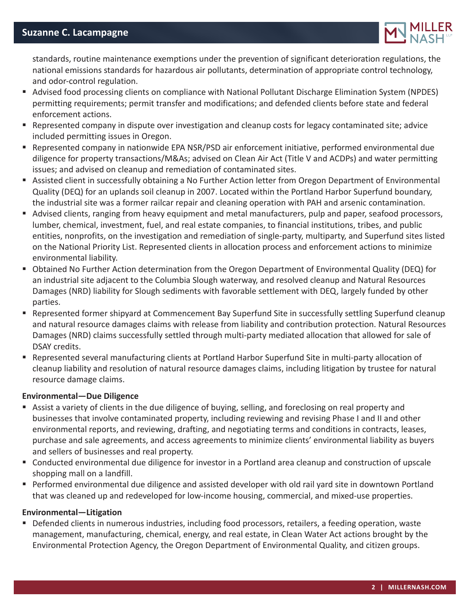

standards, routine maintenance exemptions under the prevention of significant deterioration regulations, the national emissions standards for hazardous air pollutants, determination of appropriate control technology, and odor-control regulation.

- Advised food processing clients on compliance with National Pollutant Discharge Elimination System (NPDES) permitting requirements; permit transfer and modifications; and defended clients before state and federal enforcement actions.
- **•** Represented company in dispute over investigation and cleanup costs for legacy contaminated site; advice included permitting issues in Oregon.
- Represented company in nationwide EPA NSR/PSD air enforcement initiative, performed environmental due diligence for property transactions/M&As; advised on Clean Air Act (Title V and ACDPs) and water permitting issues; and advised on cleanup and remediation of contaminated sites.
- Assisted client in successfully obtaining a No Further Action letter from Oregon Department of Environmental Quality (DEQ) for an uplands soil cleanup in 2007. Located within the Portland Harbor Superfund boundary, the industrial site was a former railcar repair and cleaning operation with PAH and arsenic contamination.
- Advised clients, ranging from heavy equipment and metal manufacturers, pulp and paper, seafood processors, lumber, chemical, investment, fuel, and real estate companies, to financial institutions, tribes, and public entities, nonprofits, on the investigation and remediation of single-party, multiparty, and Superfund sites listed on the National Priority List. Represented clients in allocation process and enforcement actions to minimize environmental liability.
- Obtained No Further Action determination from the Oregon Department of Environmental Quality (DEQ) for an industrial site adjacent to the Columbia Slough waterway, and resolved cleanup and Natural Resources Damages (NRD) liability for Slough sediments with favorable settlement with DEQ, largely funded by other parties.
- Represented former shipyard at Commencement Bay Superfund Site in successfully settling Superfund cleanup and natural resource damages claims with release from liability and contribution protection. Natural Resources Damages (NRD) claims successfully settled through multi-party mediated allocation that allowed for sale of DSAY credits.
- Represented several manufacturing clients at Portland Harbor Superfund Site in multi-party allocation of cleanup liability and resolution of natural resource damages claims, including litigation by trustee for natural resource damage claims.

#### **Environmental—Due Diligence**

- Assist a variety of clients in the due diligence of buying, selling, and foreclosing on real property and businesses that involve contaminated property, including reviewing and revising Phase I and II and other environmental reports, and reviewing, drafting, and negotiating terms and conditions in contracts, leases, purchase and sale agreements, and access agreements to minimize clients' environmental liability as buyers and sellers of businesses and real property.
- Conducted environmental due diligence for investor in a Portland area cleanup and construction of upscale shopping mall on a landfill.
- Performed environmental due diligence and assisted developer with old rail yard site in downtown Portland that was cleaned up and redeveloped for low-income housing, commercial, and mixed-use properties.

#### **Environmental—Litigation**

 Defended clients in numerous industries, including food processors, retailers, a feeding operation, waste management, manufacturing, chemical, energy, and real estate, in Clean Water Act actions brought by the Environmental Protection Agency, the Oregon Department of Environmental Quality, and citizen groups.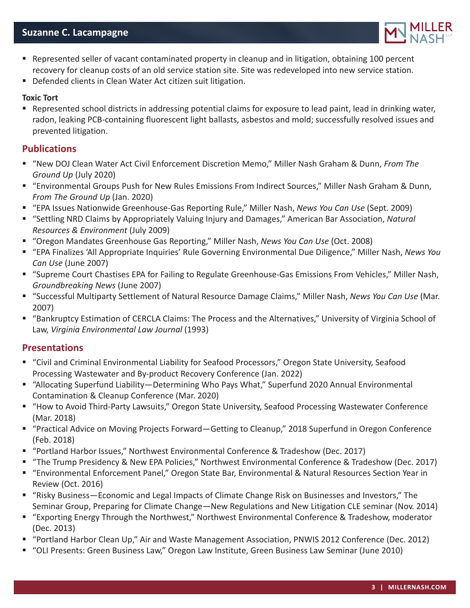

- Represented seller of vacant contaminated property in cleanup and in litigation, obtaining 100 percent recovery for cleanup costs of an old service station site. Site was redeveloped into new service station.
- Defended clients in Clean Water Act citizen suit litigation.

#### **Toxic Tort**

 Represented school districts in addressing potential claims for exposure to lead paint, lead in drinking water, radon, leaking PCB-containing fluorescent light ballasts, asbestos and mold; successfully resolved issues and prevented litigation.

### **Publications**

- "New DOJ Clean Water Act Civil Enforcement Discretion Memo," Miller Nash Graham & Dunn, *From The Ground Up* (July 2020)
- "Environmental Groups Push for New Rules Emissions From Indirect Sources," Miller Nash Graham & Dunn, *From The Ground Up* (Jan. 2020)
- "EPA Issues Nationwide Greenhouse-Gas Reporting Rule," Miller Nash, *News You Can Use* (Sept. 2009)
- "Settling NRD Claims by Appropriately Valuing Injury and Damages," American Bar Association, Natural *Resources & Environment* (July 2009)
- "Oregon Mandates Greenhouse Gas Reporting," Miller Nash, *News You Can Use* (Oct. 2008)
- "EPA Finalizes 'All Appropriate Inquiries' Rule Governing Environmental Due Diligence," Miller Nash, *News You Can Use* (June 2007)
- "Supreme Court Chastises EPA for Failing to Regulate Greenhouse-Gas Emissions From Vehicles," Miller Nash, *Groundbreaking News* (June 2007)
- "Successful Multiparty Settlement of Natural Resource Damage Claims," Miller Nash, *News You Can Use* (Mar. 2007)
- "Bankruptcy Estimation of CERCLA Claims: The Process and the Alternatives," University of Virginia School of Law, *Virginia Environmental Law Journal* (1993)

## **Presentations**

- "Civil and Criminal Environmental Liability for Seafood Processors," Oregon State University, Seafood Processing Wastewater and By-product Recovery Conference (Jan. 2022)
- "Allocating Superfund Liability—Determining Who Pays What," Superfund 2020 Annual Environmental Contamination & Cleanup Conference (Mar. 2020)
- "How to Avoid Third-Party Lawsuits," Oregon State University, Seafood Processing Wastewater Conference (Mar. 2018)
- "Practical Advice on Moving Projects Forward—Getting to Cleanup," 2018 Superfund in Oregon Conference (Feb. 2018)
- "Portland Harbor Issues," Northwest Environmental Conference & Tradeshow (Dec. 2017)
- "The Trump Presidency & New EPA Policies," Northwest Environmental Conference & Tradeshow (Dec. 2017)
- "Environmental Enforcement Panel," Oregon State Bar, Environmental & Natural Resources Section Year in Review (Oct. 2016)
- "Risky Business—Economic and Legal Impacts of Climate Change Risk on Businesses and Investors," The Seminar Group, Preparing for Climate Change—New Regulations and New Litigation CLE seminar (Nov. 2014)
- "Exporting Energy Through the Northwest," Northwest Environmental Conference & Tradeshow, moderator (Dec. 2013)
- "Portland Harbor Clean Up," Air and Waste Management Association, PNWIS 2012 Conference (Dec. 2012)
- "OLI Presents: Green Business Law," Oregon Law Institute, Green Business Law Seminar (June 2010)